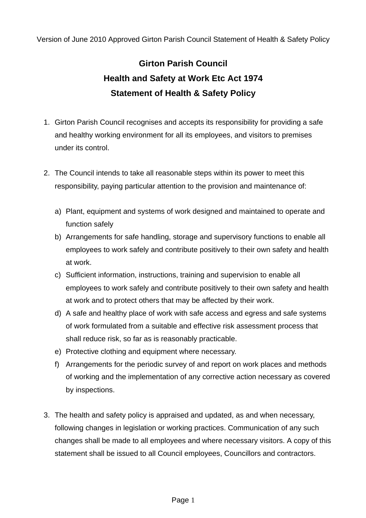Version of June 2010 Approved Girton Parish Council Statement of Health & Safety Policy

# **Girton Parish Council Health and Safety at Work Etc Act 1974 Statement of Health & Safety Policy**

- 1. Girton Parish Council recognises and accepts its responsibility for providing a safe and healthy working environment for all its employees, and visitors to premises under its control.
- 2. The Council intends to take all reasonable steps within its power to meet this responsibility, paying particular attention to the provision and maintenance of:
	- a) Plant, equipment and systems of work designed and maintained to operate and function safely
	- b) Arrangements for safe handling, storage and supervisory functions to enable all employees to work safely and contribute positively to their own safety and health at work.
	- c) Sufficient information, instructions, training and supervision to enable all employees to work safely and contribute positively to their own safety and health at work and to protect others that may be affected by their work.
	- d) A safe and healthy place of work with safe access and egress and safe systems of work formulated from a suitable and effective risk assessment process that shall reduce risk, so far as is reasonably practicable.
	- e) Protective clothing and equipment where necessary.
	- f) Arrangements for the periodic survey of and report on work places and methods of working and the implementation of any corrective action necessary as covered by inspections.
- 3. The health and safety policy is appraised and updated, as and when necessary, following changes in legislation or working practices. Communication of any such changes shall be made to all employees and where necessary visitors. A copy of this statement shall be issued to all Council employees, Councillors and contractors.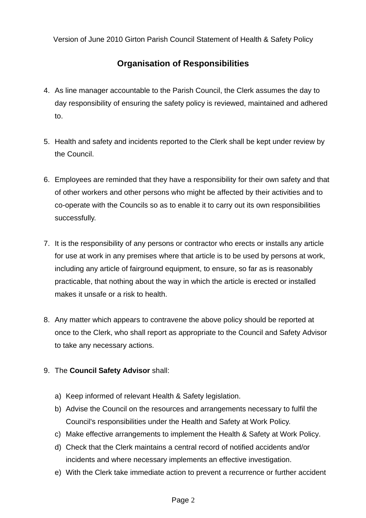Version of June 2010 Girton Parish Council Statement of Health & Safety Policy

# **Organisation of Responsibilities**

- 4. As line manager accountable to the Parish Council, the Clerk assumes the day to day responsibility of ensuring the safety policy is reviewed, maintained and adhered to.
- 5. Health and safety and incidents reported to the Clerk shall be kept under review by the Council.
- 6. Employees are reminded that they have a responsibility for their own safety and that of other workers and other persons who might be affected by their activities and to co-operate with the Councils so as to enable it to carry out its own responsibilities successfully.
- 7. It is the responsibility of any persons or contractor who erects or installs any article for use at work in any premises where that article is to be used by persons at work, including any article of fairground equipment, to ensure, so far as is reasonably practicable, that nothing about the way in which the article is erected or installed makes it unsafe or a risk to health.
- 8. Any matter which appears to contravene the above policy should be reported at once to the Clerk, who shall report as appropriate to the Council and Safety Advisor to take any necessary actions.
- 9. The **Council Safety Advisor** shall:
	- a) Keep informed of relevant Health & Safety legislation.
	- b) Advise the Council on the resources and arrangements necessary to fulfil the Council's responsibilities under the Health and Safety at Work Policy.
	- c) Make effective arrangements to implement the Health & Safety at Work Policy.
	- d) Check that the Clerk maintains a central record of notified accidents and/or incidents and where necessary implements an effective investigation.
	- e) With the Clerk take immediate action to prevent a recurrence or further accident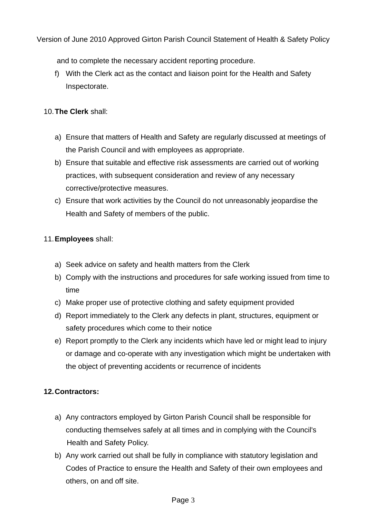Version of June 2010 Approved Girton Parish Council Statement of Health & Safety Policy

and to complete the necessary accident reporting procedure.

f) With the Clerk act as the contact and liaison point for the Health and Safety Inspectorate.

# 10.**The Clerk** shall:

- a) Ensure that matters of Health and Safety are regularly discussed at meetings of the Parish Council and with employees as appropriate.
- b) Ensure that suitable and effective risk assessments are carried out of working practices, with subsequent consideration and review of any necessary corrective/protective measures.
- c) Ensure that work activities by the Council do not unreasonably jeopardise the Health and Safety of members of the public.

# 11.**Employees** shall:

- a) Seek advice on safety and health matters from the Clerk
- b) Comply with the instructions and procedures for safe working issued from time to time
- c) Make proper use of protective clothing and safety equipment provided
- d) Report immediately to the Clerk any defects in plant, structures, equipment or safety procedures which come to their notice
- e) Report promptly to the Clerk any incidents which have led or might lead to injury or damage and co-operate with any investigation which might be undertaken with the object of preventing accidents or recurrence of incidents

# **12.Contractors:**

- a) Any contractors employed by Girton Parish Council shall be responsible for conducting themselves safely at all times and in complying with the Council's Health and Safety Policy.
- b) Any work carried out shall be fully in compliance with statutory legislation and Codes of Practice to ensure the Health and Safety of their own employees and others, on and off site.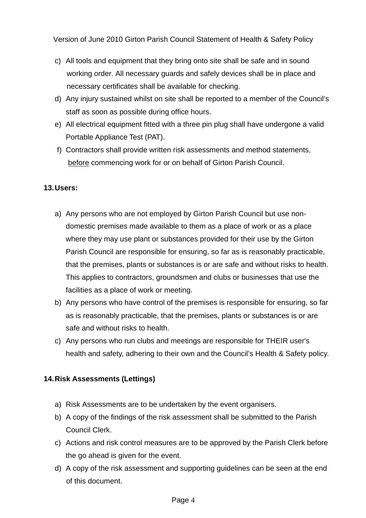Version of June 2010 Girton Parish Council Statement of Health & Safety Policy

- c) All tools and equipment that they bring onto site shall be safe and in sound working order. All necessary guards and safely devices shall be in place and necessary certificates shall be available for checking.
- d) Any injury sustained whilst on site shall be reported to a member of the Council's staff as soon as possible during office hours.
- e) All electrical equipment fitted with a three pin plug shall have undergone a valid Portable Appliance Test (PAT).
- f) Contractors shall provide written risk assessments and method statements, before commencing work for or on behalf of Girton Parish Council.

### **13.Users:**

- a) Any persons who are not employed by Girton Parish Council but use nondomestic premises made available to them as a place of work or as a place where they may use plant or substances provided for their use by the Girton Parish Council are responsible for ensuring, so far as is reasonably practicable, that the premises, plants or substances is or are safe and without risks to health. This applies to contractors, groundsmen and clubs or businesses that use the facilities as a place of work or meeting.
- b) Any persons who have control of the premises is responsible for ensuring, so far as is reasonably practicable, that the premises, plants or substances is or are safe and without risks to health.
- c) Any persons who run clubs and meetings are responsible for THEIR user's health and safety, adhering to their own and the Council's Health & Safety policy.

### **14.Risk Assessments (Lettings)**

- a) Risk Assessments are to be undertaken by the event organisers.
- b) A copy of the findings of the risk assessment shall be submitted to the Parish Council Clerk.
- c) Actions and risk control measures are to be approved by the Parish Clerk before the go ahead is given for the event.
- d) A copy of the risk assessment and supporting guidelines can be seen at the end of this document.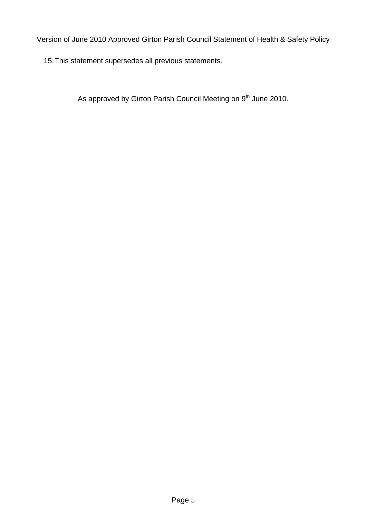Version of June 2010 Approved Girton Parish Council Statement of Health & Safety Policy

15.This statement supersedes all previous statements.

As approved by Girton Parish Council Meeting on 9<sup>th</sup> June 2010.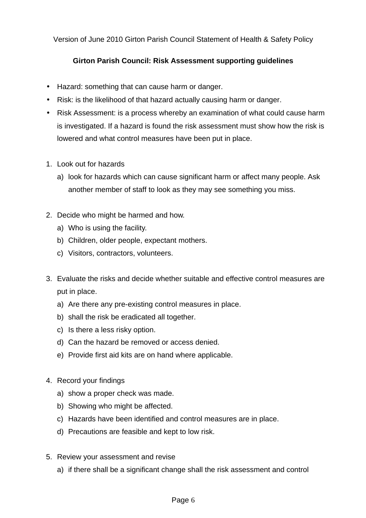Version of June 2010 Girton Parish Council Statement of Health & Safety Policy

# **Girton Parish Council: Risk Assessment supporting guidelines**

- Hazard: something that can cause harm or danger.
- Risk: is the likelihood of that hazard actually causing harm or danger.
- Risk Assessment: is a process whereby an examination of what could cause harm is investigated. If a hazard is found the risk assessment must show how the risk is lowered and what control measures have been put in place.
- 1. Look out for hazards
	- a) look for hazards which can cause significant harm or affect many people. Ask another member of staff to look as they may see something you miss.
- 2. Decide who might be harmed and how.
	- a) Who is using the facility.
	- b) Children, older people, expectant mothers.
	- c) Visitors, contractors, volunteers.
- 3. Evaluate the risks and decide whether suitable and effective control measures are put in place.
	- a) Are there any pre-existing control measures in place.
	- b) shall the risk be eradicated all together.
	- c) Is there a less risky option.
	- d) Can the hazard be removed or access denied.
	- e) Provide first aid kits are on hand where applicable.
- 4. Record your findings
	- a) show a proper check was made.
	- b) Showing who might be affected.
	- c) Hazards have been identified and control measures are in place.
	- d) Precautions are feasible and kept to low risk.
- 5. Review your assessment and revise
	- a) if there shall be a significant change shall the risk assessment and control